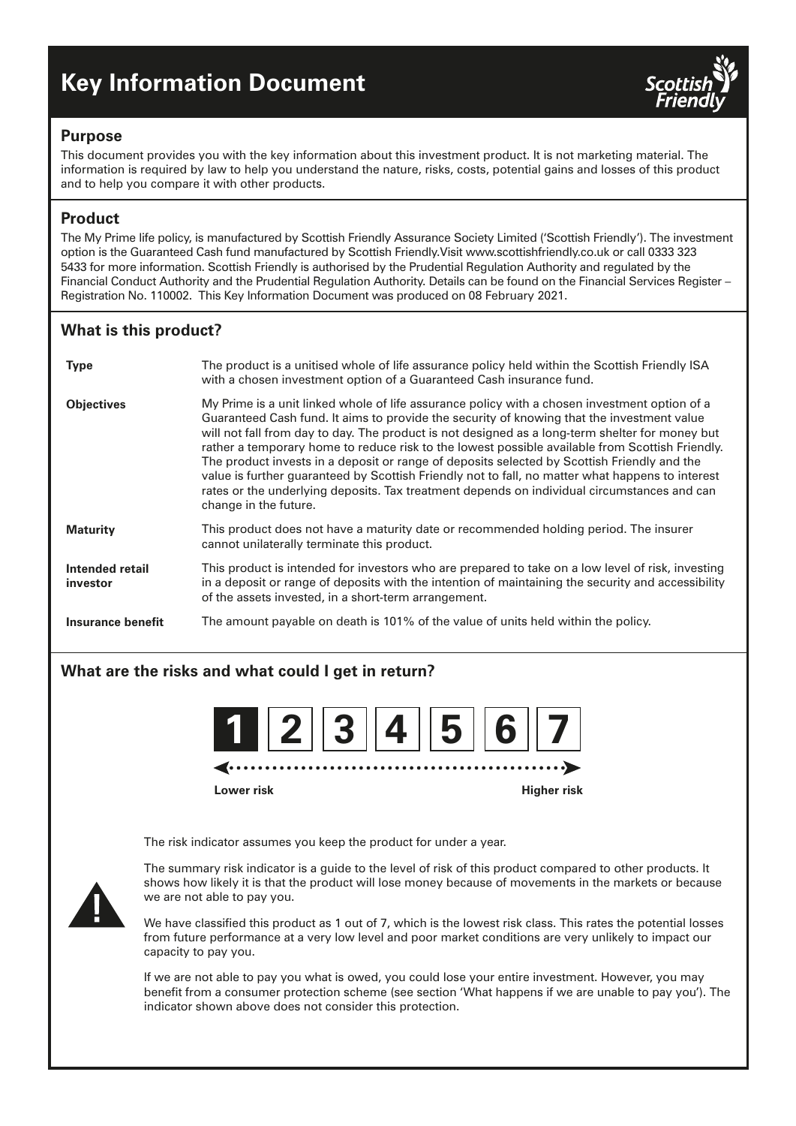# **Key Information Document**



### **Purpose**

This document provides you with the key information about this investment product. It is not marketing material. The information is required by law to help you understand the nature, risks, costs, potential gains and losses of this product and to help you compare it with other products.

# **Product**

The My Prime life policy, is manufactured by Scottish Friendly Assurance Society Limited ('Scottish Friendly'). The investment option is the Guaranteed Cash fund manufactured by Scottish Friendly.Visit www.scottishfriendly.co.uk or call 0333 323 5433 for more information. Scottish Friendly is authorised by the Prudential Regulation Authority and regulated by the Financial Conduct Authority and the Prudential Regulation Authority. Details can be found on the Financial Services Register – Registration No. 110002. This Key Information Document was produced on 08 February 2021.

# **What is this product?**

| <b>Type</b>                 | The product is a unitised whole of life assurance policy held within the Scottish Friendly ISA<br>with a chosen investment option of a Guaranteed Cash insurance fund.                                                                                                                                                                                                                                                                                                                                                                                                                                                                                                                                                       |
|-----------------------------|------------------------------------------------------------------------------------------------------------------------------------------------------------------------------------------------------------------------------------------------------------------------------------------------------------------------------------------------------------------------------------------------------------------------------------------------------------------------------------------------------------------------------------------------------------------------------------------------------------------------------------------------------------------------------------------------------------------------------|
| <b>Objectives</b>           | My Prime is a unit linked whole of life assurance policy with a chosen investment option of a<br>Guaranteed Cash fund. It aims to provide the security of knowing that the investment value<br>will not fall from day to day. The product is not designed as a long-term shelter for money but<br>rather a temporary home to reduce risk to the lowest possible available from Scottish Friendly.<br>The product invests in a deposit or range of deposits selected by Scottish Friendly and the<br>value is further quaranteed by Scottish Friendly not to fall, no matter what happens to interest<br>rates or the underlying deposits. Tax treatment depends on individual circumstances and can<br>change in the future. |
| <b>Maturity</b>             | This product does not have a maturity date or recommended holding period. The insurer<br>cannot unilaterally terminate this product.                                                                                                                                                                                                                                                                                                                                                                                                                                                                                                                                                                                         |
| Intended retail<br>investor | This product is intended for investors who are prepared to take on a low level of risk, investing<br>in a deposit or range of deposits with the intention of maintaining the security and accessibility<br>of the assets invested, in a short-term arrangement.                                                                                                                                                                                                                                                                                                                                                                                                                                                              |
| Insurance benefit           | The amount payable on death is 101% of the value of units held within the policy.                                                                                                                                                                                                                                                                                                                                                                                                                                                                                                                                                                                                                                            |

# **What are the risks and what could I get in return?**



**Lower risk Higher risk**

The risk indicator assumes you keep the product for under a year.



The summary risk indicator is a guide to the level of risk of this product compared to other products. It shows how likely it is that the product will lose money because of movements in the markets or because we are not able to pay you.

We have classified this product as 1 out of 7, which is the lowest risk class. This rates the potential losses from future performance at a very low level and poor market conditions are very unlikely to impact our capacity to pay you.

If we are not able to pay you what is owed, you could lose your entire investment. However, you may benefit from a consumer protection scheme (see section 'What happens if we are unable to pay you'). The indicator shown above does not consider this protection.